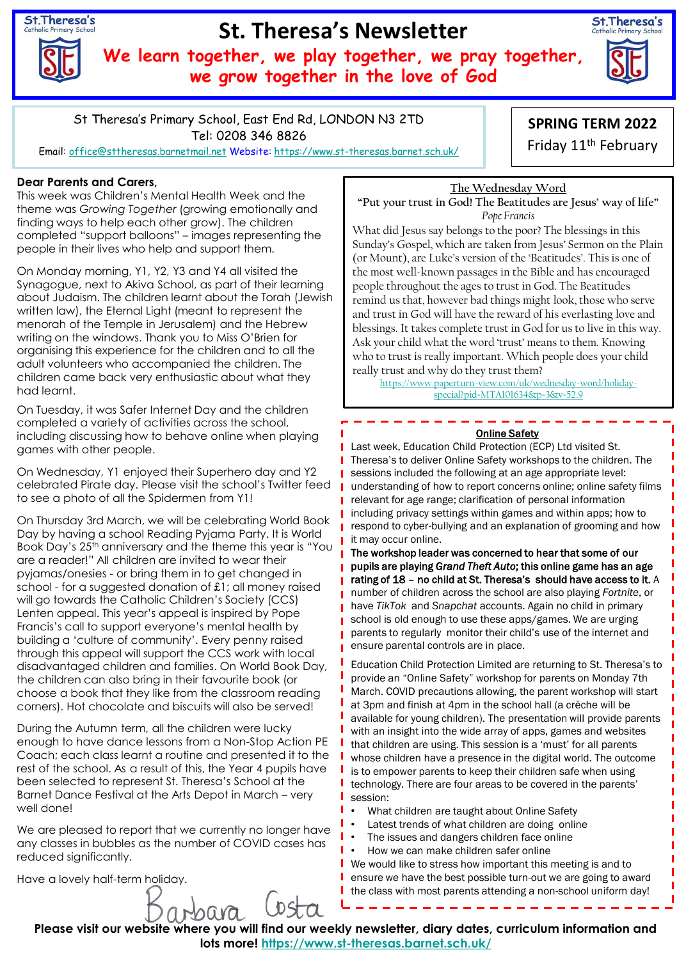St. Theresa's

# **St. Theresa's Newsletter**

**We learn together, we play together, we pray together, we grow together in the love of God**



St Theresa's Primary School, East End Rd, LONDON N3 2TD Tel: 0208 346 8826

Email: [office@sttheresas.barnetmail.net](mailto:office@sttheresas.barnetmail.net) Website:<https://www.st-theresas.barnet.sch.uk/>

## **Dear Parents and Carers,**

This week was Children's Mental Health Week and the theme was *Growing Together* (growing emotionally and finding ways to help each other grow). The children completed "support balloons" – images representing the people in their lives who help and support them.

On Monday morning, Y1, Y2, Y3 and Y4 all visited the Synagogue, next to Akiva School, as part of their learning about Judaism. The children learnt about the Torah (Jewish written law), the Eternal Light (meant to represent the menorah of the Temple in Jerusalem) and the Hebrew writing on the windows. Thank you to Miss O'Brien for organising this experience for the children and to all the adult volunteers who accompanied the children. The children came back very enthusiastic about what they had learnt.

On Tuesday, it was Safer Internet Day and the children completed a variety of activities across the school, including discussing how to behave online when playing games with other people.

On Wednesday, Y1 enjoyed their Superhero day and Y2 celebrated Pirate day. Please visit the school's Twitter feed to see a photo of all the Spidermen from Y1!

On Thursday 3rd March, we will be celebrating World Book Day by having a school Reading Pyjama Party. It is World Book Day's 25th anniversary and the theme this year is "You are a reader!" All children are invited to wear their pyjamas/onesies - or bring them in to get changed in school - for a suggested donation of £1; all money raised will go towards the Catholic Children's Society (CCS) Lenten appeal. This year's appeal is inspired by Pope Francis's call to support everyone's mental health by building a 'culture of community'. Every penny raised through this appeal will support the CCS work with local disadvantaged children and families. On World Book Day, the children can also bring in their favourite book (or choose a book that they like from the classroom reading corners). Hot chocolate and biscuits will also be served!

During the Autumn term, all the children were lucky enough to have dance lessons from a Non-Stop Action PE Coach; each class learnt a routine and presented it to the rest of the school. As a result of this, the Year 4 pupils have been selected to represent St. Theresa's School at the Barnet Dance Festival at the Arts Depot in March – very well done!

We are pleased to report that we currently no longer have any classes in bubbles as the number of COVID cases has reduced significantly.

arbara

Have a lovely half-term holiday.

**SPRING TERM 2022** 

Friday 11th February

#### **The Wednesday Word "Put your trust in God! The Beatitudes are Jesus' way of life"** *Pope Francis*

What did Jesus say belongs to the poor? The blessings in this Sunday's Gospel, which are taken from Jesus' Sermon on the Plain (or Mount), are Luke's version of the 'Beatitudes'. This is one of the most well-known passages in the Bible and has encouraged people throughout the ages to trust in God. The Beatitudes remind us that, however bad things might look, those who serve and trust in God will have the reward of his everlasting love and blessings. It takes complete trust in God for us to live in this way. Ask your child what the word 'trust' means to them. Knowing who to trust is really important. Which people does your child really trust and why do they trust them?

[https://www.paperturn-view.com/uk/wednesday-word/holiday](https://www.paperturn-view.com/uk/wednesday-word/holiday-special?pid=MTA101634&p=3&v=52.9)special?pid=MTA101634&p=3&v=52.9

## Online Safety

Last week, Education Child Protection (ECP) Ltd visited St. Theresa's to deliver Online Safety workshops to the children. The sessions included the following at an age appropriate level: understanding of how to report concerns online; online safety films relevant for age range; clarification of personal information including privacy settings within games and within apps; how to respond to cyber-bullying and an explanation of grooming and how it may occur online.

The workshop leader was concerned to hear that some of our pupils are playing *Grand Theft Auto*; this online game has an age rating of 18 – no child at St. Theresa's should have access to it. A number of children across the school are also playing *Fortnite*, or have *TikTok* and *Snapchat* accounts. Again no child in primary school is old enough to use these apps/games. We are urging parents to regularly monitor their child's use of the internet and ensure parental controls are in place.

Education Child Protection Limited are returning to St. Theresa's to provide an "Online Safety" workshop for parents on Monday 7th March. COVID precautions allowing, the parent workshop will start at 3pm and finish at 4pm in the school hall (a crèche will be available for young children). The presentation will provide parents with an insight into the wide array of apps, games and websites that children are using. This session is a 'must' for all parents whose children have a presence in the digital world. The outcome is to empower parents to keep their children safe when using technology. There are four areas to be covered in the parents' session:

- What children are taught about Online Safety
- Latest trends of what children are doing online
- The issues and dangers children face online
- How we can make children safer online

We would like to stress how important this meeting is and to ensure we have the best possible turn-out we are going to award the class with most parents attending a non-school uniform day!

**Please visit our website where you will find our weekly newsletter, diary dates, curriculum information and lots more!<https://www.st-theresas.barnet.sch.uk/>**